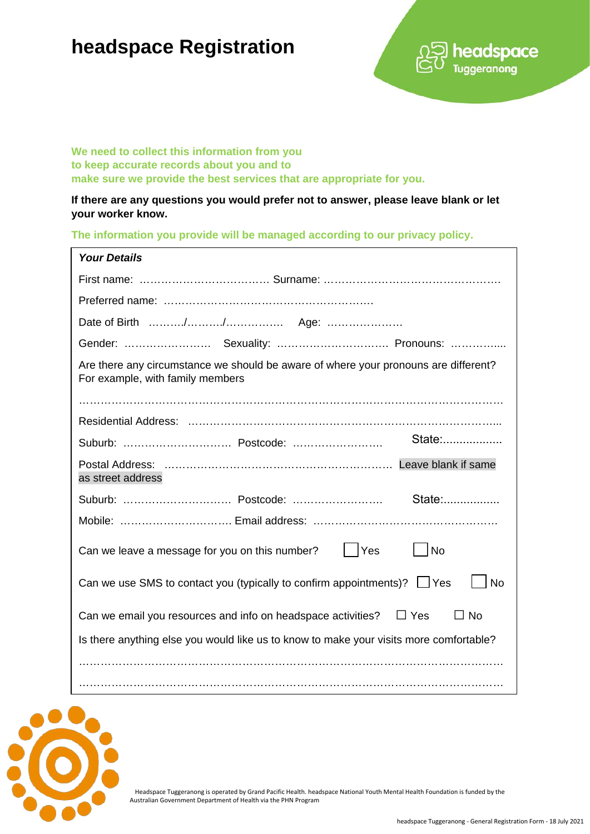## **headspace Registration**



**We need to collect this information from you to keep accurate records about you and to make sure we provide the best services that are appropriate for you.** 

**If there are any questions you would prefer not to answer, please leave blank or let your worker know.**

**The information you provide will be managed according to our privacy policy.**

| <b>Your Details</b>                                                                                                     |
|-------------------------------------------------------------------------------------------------------------------------|
|                                                                                                                         |
|                                                                                                                         |
|                                                                                                                         |
|                                                                                                                         |
| Are there any circumstance we should be aware of where your pronouns are different?<br>For example, with family members |
|                                                                                                                         |
|                                                                                                                         |
| State:                                                                                                                  |
| as street address                                                                                                       |
| State:                                                                                                                  |
|                                                                                                                         |
| Can we leave a message for you on this number? $\vert \vert$ Yes<br>l No                                                |
| Can we use SMS to contact you (typically to confirm appointments)? $\Box$ Yes<br><b>No</b>                              |
| Can we email you resources and info on headspace activities? $\Box$ Yes<br>$\Box$ No                                    |
| Is there anything else you would like us to know to make your visits more comfortable?                                  |
|                                                                                                                         |
|                                                                                                                         |



Headspace Tuggeranong is operated by Grand Pacific Health. headspace National Youth Mental Health Foundation is funded by the Australian Government Department of Health via the PHN Program